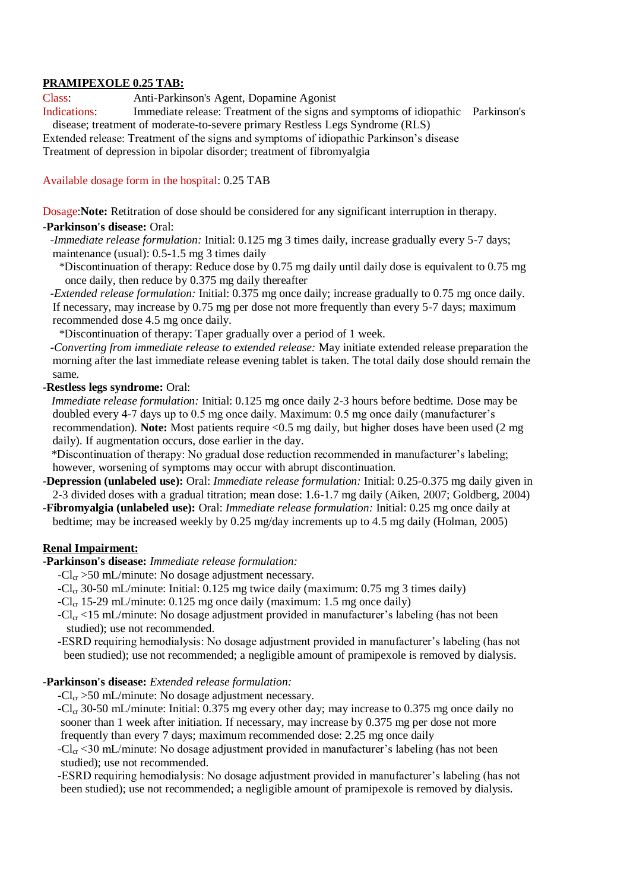# **PRAMIPEXOLE 0.25 TAB:**

Class: Anti-Parkinson's Agent, Dopamine Agonist

Indications: Immediate release: Treatment of the signs and symptoms of idiopathic Parkinson's disease; treatment of moderate-to-severe primary Restless Legs Syndrome (RLS)

Extended release: Treatment of the signs and symptoms of idiopathic Parkinson's disease Treatment of depression in bipolar disorder; treatment of fibromyalgia

# Available dosage form in the hospital: 0.25 TAB

Dosage:**Note:** Retitration of dose should be considered for any significant interruption in therapy.

# **-Parkinson's disease:** Oral:

- *-Immediate release formulation:* Initial: 0.125 mg 3 times daily, increase gradually every 5-7 days; maintenance (usual): 0.5-1.5 mg 3 times daily
	- \*Discontinuation of therapy: Reduce dose by 0.75 mg daily until daily dose is equivalent to 0.75 mg once daily, then reduce by 0.375 mg daily thereafter

*-Extended release formulation:* Initial: 0.375 mg once daily; increase gradually to 0.75 mg once daily. If necessary, may increase by 0.75 mg per dose not more frequently than every 5-7 days; maximum recommended dose 4.5 mg once daily.

\*Discontinuation of therapy: Taper gradually over a period of 1 week.

*-Converting from immediate release to extended release:* May initiate extended release preparation the morning after the last immediate release evening tablet is taken. The total daily dose should remain the same.

## **-Restless legs syndrome:** Oral:

*Immediate release formulation:* Initial: 0.125 mg once daily 2-3 hours before bedtime. Dose may be doubled every 4-7 days up to 0.5 mg once daily. Maximum: 0.5 mg once daily (manufacturer's recommendation). **Note:** Most patients require <0.5 mg daily, but higher doses have been used (2 mg daily). If augmentation occurs, dose earlier in the day.

 \*Discontinuation of therapy: No gradual dose reduction recommended in manufacturer's labeling; however, worsening of symptoms may occur with abrupt discontinuation.

- **-Depression (unlabeled use):** Oral: *Immediate release formulation:* Initial: 0.25-0.375 mg daily given in 2-3 divided doses with a gradual titration; mean dose: 1.6-1.7 mg daily (Aiken, 2007; Goldberg, 2004)
- **-Fibromyalgia (unlabeled use):** Oral: *Immediate release formulation:* Initial: 0.25 mg once daily at bedtime; may be increased weekly by 0.25 mg/day increments up to 4.5 mg daily (Holman, 2005)

# **Renal Impairment:**

**-Parkinson's disease:** *Immediate release formulation:*

- $-Cl_{cr} > 50$  mL/minute: No dosage adjustment necessary.
- $-Cl_{cr}$  30-50 mL/minute: Initial: 0.125 mg twice daily (maximum: 0.75 mg 3 times daily)
- $-Cl_{cr}$  15-29 mL/minute: 0.125 mg once daily (maximum: 1.5 mg once daily)
- $-Cl_{cr}$  <15 mL/minute: No dosage adjustment provided in manufacturer's labeling (has not been studied); use not recommended.
- -ESRD requiring hemodialysis: No dosage adjustment provided in manufacturer's labeling (has not been studied); use not recommended; a negligible amount of pramipexole is removed by dialysis.

#### **-Parkinson's disease:** *Extended release formulation:*

 $-Cl_{cr} > 50$  mL/minute: No dosage adjustment necessary.

 $-Cl_{cr}$  30-50 mL/minute: Initial: 0.375 mg every other day; may increase to 0.375 mg once daily no sooner than 1 week after initiation. If necessary, may increase by 0.375 mg per dose not more frequently than every 7 days; maximum recommended dose: 2.25 mg once daily

 $-Cl_{cr}$  <30 mL/minute: No dosage adjustment provided in manufacturer's labeling (has not been studied); use not recommended.

-ESRD requiring hemodialysis: No dosage adjustment provided in manufacturer's labeling (has not been studied); use not recommended; a negligible amount of pramipexole is removed by dialysis.